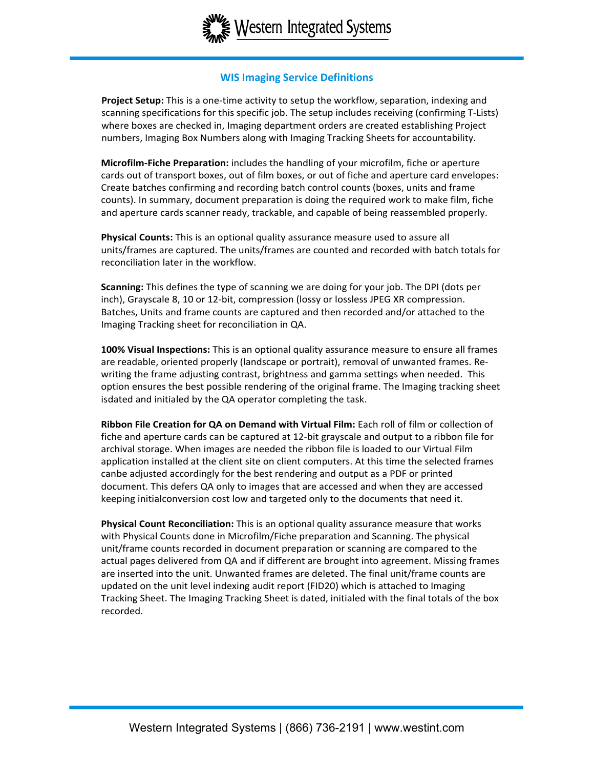

## **WIS Imaging Service Definitions**

**Project Setup:** This is a one-time activity to setup the workflow, separation, indexing and scanning specifications for this specific job. The setup includes receiving (confirming T-Lists) where boxes are checked in, Imaging department orders are created establishing Project numbers, Imaging Box Numbers along with Imaging Tracking Sheets for accountability.

**Microfilm-Fiche Preparation:** includes the handling of your microfilm, fiche or aperture cards out of transport boxes, out of film boxes, or out of fiche and aperture card envelopes: Create batches confirming and recording batch control counts (boxes, units and frame counts). In summary, document preparation is doing the required work to make film, fiche and aperture cards scanner ready, trackable, and capable of being reassembled properly.

**Physical Counts:** This is an optional quality assurance measure used to assure all units/frames are captured. The units/frames are counted and recorded with batch totals for reconciliation later in the workflow.

**Scanning:** This defines the type of scanning we are doing for your job. The DPI (dots per inch), Grayscale 8, 10 or 12-bit, compression (lossy or lossless JPEG XR compression. Batches, Units and frame counts are captured and then recorded and/or attached to the Imaging Tracking sheet for reconciliation in QA.

**100% Visual Inspections:** This is an optional quality assurance measure to ensure all frames are readable, oriented properly (landscape or portrait), removal of unwanted frames. Rewriting the frame adjusting contrast, brightness and gamma settings when needed. This option ensures the best possible rendering of the original frame. The Imaging tracking sheet isdated and initialed by the QA operator completing the task.

**Ribbon File Creation for QA on Demand with Virtual Film:** Each roll of film or collection of fiche and aperture cards can be captured at 12-bit grayscale and output to a ribbon file for archival storage. When images are needed the ribbon file is loaded to our Virtual Film application installed at the client site on client computers. At this time the selected frames canbe adjusted accordingly for the best rendering and output as a PDF or printed document. This defers QA only to images that are accessed and when they are accessed keeping initialconversion cost low and targeted only to the documents that need it.

**Physical Count Reconciliation:** This is an optional quality assurance measure that works with Physical Counts done in Microfilm/Fiche preparation and Scanning. The physical unit/frame counts recorded in document preparation or scanning are compared to the actual pages delivered from QA and if different are brought into agreement. Missing frames are inserted into the unit. Unwanted frames are deleted. The final unit/frame counts are updated on the unit level indexing audit report (FID20) which is attached to Imaging Tracking Sheet. The Imaging Tracking Sheet is dated, initialed with the final totals of the box recorded.